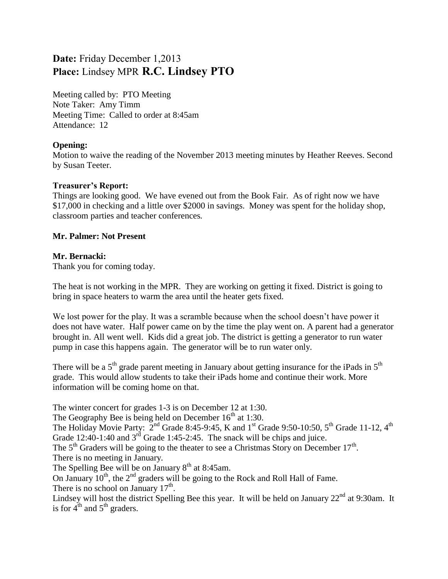# **Date:** Friday December 1,2013 **Place:** Lindsey MPR **R.C. Lindsey PTO**

Meeting called by: PTO Meeting Note Taker: Amy Timm Meeting Time: Called to order at 8:45am Attendance: 12

## **Opening:**

Motion to waive the reading of the November 2013 meeting minutes by Heather Reeves. Second by Susan Teeter.

## **Treasurer's Report:**

Things are looking good. We have evened out from the Book Fair. As of right now we have \$17,000 in checking and a little over \$2000 in savings. Money was spent for the holiday shop, classroom parties and teacher conferences.

## **Mr. Palmer: Not Present**

## **Mr. Bernacki:**

Thank you for coming today.

The heat is not working in the MPR. They are working on getting it fixed. District is going to bring in space heaters to warm the area until the heater gets fixed.

We lost power for the play. It was a scramble because when the school doesn't have power it does not have water. Half power came on by the time the play went on. A parent had a generator brought in. All went well. Kids did a great job. The district is getting a generator to run water pump in case this happens again. The generator will be to run water only.

There will be a  $5<sup>th</sup>$  grade parent meeting in January about getting insurance for the iPads in  $5<sup>th</sup>$ grade. This would allow students to take their iPads home and continue their work. More information will be coming home on that.

The winter concert for grades 1-3 is on December 12 at 1:30.

The Geography Bee is being held on December  $16<sup>th</sup>$  at 1:30.

The Holiday Movie Party:  $2^{nd}$  Grade 8:45-9:45, K and 1<sup>st</sup> Grade 9:50-10:50, 5<sup>th</sup> Grade 11-12, 4<sup>th</sup> Grade 12:40-1:40 and  $3<sup>rd</sup>$  Grade 1:45-2:45. The snack will be chips and juice.

The  $5<sup>th</sup>$  Graders will be going to the theater to see a Christmas Story on December 17<sup>th</sup>. There is no meeting in January.

The Spelling Bee will be on January  $8<sup>th</sup>$  at 8:45am.

On January  $10^{th}$ , the  $2^{nd}$  graders will be going to the Rock and Roll Hall of Fame.

There is no school on January  $17<sup>th</sup>$ .

Lindsey will host the district Spelling Bee this year. It will be held on January  $22<sup>nd</sup>$  at 9:30am. It is for  $4^{th}$  and  $5^{th}$  graders.